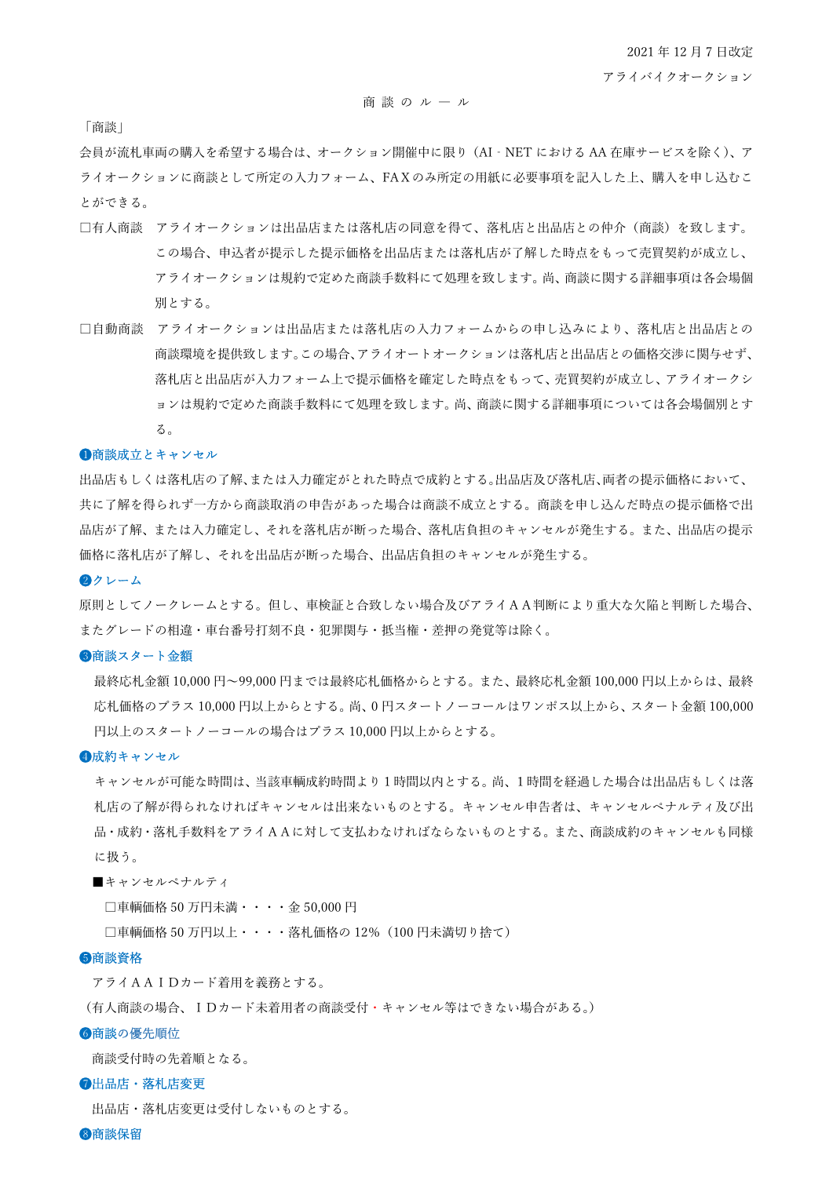#### 商 談 の ル ― ル

「商談」

会員が流札車両の購入を希望する場合は、オークション開催中に限り(AI‐NET における AA 在庫サービスを除く)、ア ライオークションに商談として所定の入力フォーム、FAXのみ所定の用紙に必要事項を記入した上、購入を申し込むこ とができる。

- □有人商談 アライオークションは出品店または落札店の同意を得て、落札店と出品店との仲介(商談)を致します。 この場合、申込者が提示した提示価格を出品店または落札店が了解した時点をもって売買契約が成立し、 アライオークションは規約で定めた商談手数料にて処理を致します。尚、商談に関する詳細事項は各会場個 別とする。
- □自動商談 アライオークションは出品店または落札店の入力フォームからの申し込みにより、落札店と出品店との 商談環境を提供致します。この場合、アライオートオークションは落札店と出品店との価格交渉に関与せず、 落札店と出品店が入力フォーム上で提示価格を確定した時点をもって、売買契約が成立し、アライオークシ ョンは規約で定めた商談手数料にて処理を致します。尚、商談に関する詳細事項については各会場個別とす る。

## ❶商談成立とキャンセル

出品店もしくは落札店の了解、または入力確定がとれた時点で成約とする。出品店及び落札店、両者の提示価格において、 共に了解を得られず一方から商談取消の申告があった場合は商談不成立とする。商談を申し込んだ時点の提示価格で出 品店が了解、または入力確定し、それを落札店が断った場合、落札店負担のキャンセルが発生する。また、出品店の提示 価格に落札店が了解し、それを出品店が断った場合、出品店負担のキャンセルが発生する。

#### ❷クレーム

原則としてノークレームとする。但し、車検証と合致しない場合及びアライAA判断により重大な欠陥と判断した場合、 またグレードの相違・車台番号打刻不良・犯罪関与・抵当権・差押の発覚等は除く。

## ●商談スタート金額

最終応札金額 10,000 円~99,000 円までは最終応札価格からとする。また、最終応札金額 100,000 円以上からは、最終 応札価格のプラス 10,000 円以上からとする。尚、0 円スタートノーコールはワンポス以上から、スタート金額 100,000 円以上のスタートノーコールの場合はプラス 10,000 円以上からとする。

#### ❹成約キャンセル

キャンセルが可能な時間は、当該車輌成約時間より1時間以内とする。尚、1時間を経過した場合は出品店もしくは落 札店の了解が得られなければキャンセルは出来ないものとする。キャンセル申告者は、キャンセルペナルティ及び出 品・成約・落札手数料をアライAAに対して支払わなければならないものとする。また、商談成約のキャンセルも同様 に扱う。

■キャンセルペナルティ

□車輌価格 50 万円未満・・・・金 50,000 円

□車輌価格 50 万円以上・・・・落札価格の 12% (100 円未満切り捨て)

#### ❺商談資格

アライAAIDカード着用を義務とする。

(有人商談の場合、IDカード未着用者の商談受付・キャンセル等はできない場合がある。)

## ❻商談の優先順位

商談受付時の先着順となる。

#### ❼出品店・落札店変更

出品店・落札店変更は受付しないものとする。

❽商談保留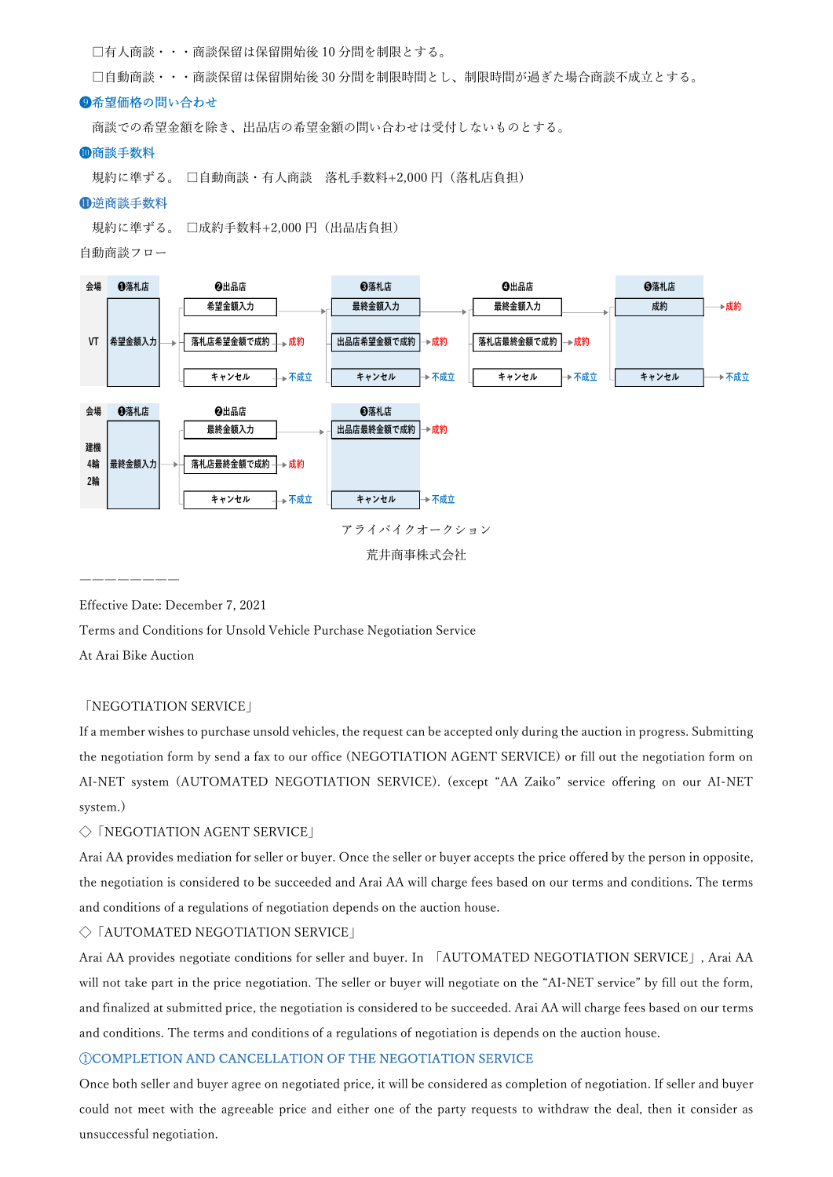□有人商談・・・商談保留は保留開始後 10 分間を制限とする。

□自動商談・・・商談保留は保留開始後 30 分間を制限時間とし、制限時間が過ぎた場合商談不成立とする。

## ❾希望価格の問い合わせ

商談での希望金額を除き、出品店の希望金額の問い合わせは受付しないものとする。

#### ❿商談手数料

規約に準ずる。 □自動商談・有人商談 落札手数料+2,000 円(落札店負担)

## ⓫逆商談手数料

規約に準ずる。 □成約手数料+2,000 円(出品店負担)

自動商談フロー



Effective Date: December 7, 2021

Terms and Conditions for Unsold Vehicle Purchase Negotiation Service

At Arai Bike Auction

## 「NEGOTIATION SERVICE」

If a member wishes to purchase unsold vehicles, the request can be accepted only during the auction in progress. Submitting the negotiation form by send a fax to our office (NEGOTIATION AGENT SERVICE) or fill out the negotiation form on AI-NET system (AUTOMATED NEGOTIATION SERVICE). (except "AA Zaiko" service offering on our AI-NET system.)

# ◇「NEGOTIATION AGENT SERVICE」

Arai AA provides mediation for seller or buyer. Once the seller or buyer accepts the price offered by the person in opposite, the negotiation is considered to be succeeded and Arai AA will charge fees based on our terms and conditions. The terms and conditions of a regulations of negotiation depends on the auction house.

# ◇「AUTOMATED NEGOTIATION SERVICE」

Arai AA provides negotiate conditions for seller and buyer. In 「AUTOMATED NEGOTIATION SERVICE」, Arai AA will not take part in the price negotiation. The seller or buyer will negotiate on the "AI-NET service" by fill out the form, and finalized at submitted price, the negotiation is considered to be succeeded. Arai AA will charge fees based on our terms and conditions. The terms and conditions of a regulations of negotiation is depends on the auction house.

## ①COMPLETION AND CANCELLATION OF THE NEGOTIATION SERVICE

Once both seller and buyer agree on negotiated price, it will be considered as completion of negotiation. If seller and buyer could not meet with the agreeable price and either one of the party requests to withdraw the deal, then it consider as unsuccessful negotiation.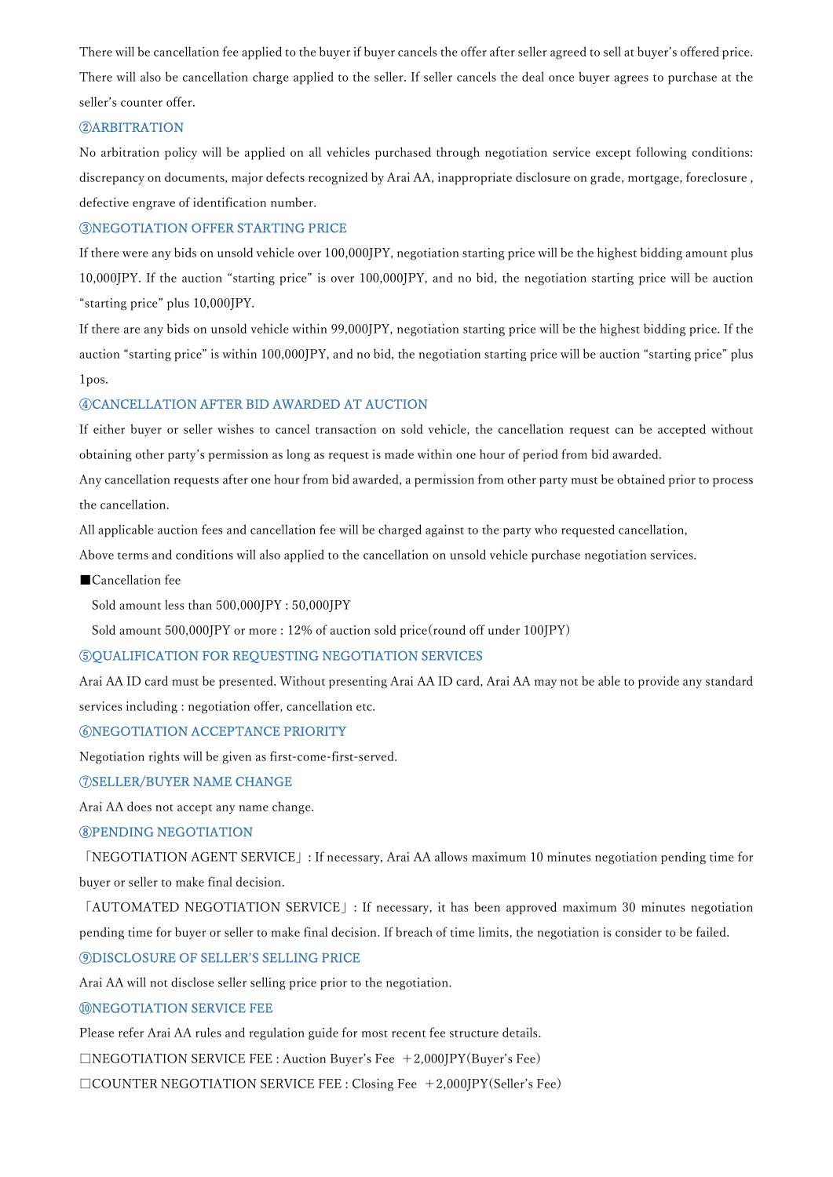There will be cancellation fee applied to the buyer if buyer cancels the offer after seller agreed to sell at buyer's offered price. There will also be cancellation charge applied to the seller. If seller cancels the deal once buyer agrees to purchase at the seller's counter offer.

# ②ARBITRATION

No arbitration policy will be applied on all vehicles purchased through negotiation service except following conditions: discrepancy on documents, major defects recognized by Arai AA, inappropriate disclosure on grade, mortgage, foreclosure , defective engrave of identification number.

## ③NEGOTIATION OFFER STARTING PRICE

If there were any bids on unsold vehicle over 100,000JPY, negotiation starting price will be the highest bidding amount plus 10,000JPY. If the auction "starting price" is over 100,000JPY, and no bid, the negotiation starting price will be auction "starting price" plus 10,000JPY.

If there are any bids on unsold vehicle within 99,000JPY, negotiation starting price will be the highest bidding price. If the auction "starting price" is within 100,000JPY, and no bid, the negotiation starting price will be auction "starting price" plus 1pos.

## ④CANCELLATION AFTER BID AWARDED AT AUCTION

If either buyer or seller wishes to cancel transaction on sold vehicle, the cancellation request can be accepted without obtaining other party's permission as long as request is made within one hour of period from bid awarded.

Any cancellation requests after one hour from bid awarded, a permission from other party must be obtained prior to process the cancellation.

All applicable auction fees and cancellation fee will be charged against to the party who requested cancellation,

Above terms and conditions will also applied to the cancellation on unsold vehicle purchase negotiation services.

#### ■Cancellation fee

Sold amount less than 500,000JPY : 50,000JPY

Sold amount 500,000JPY or more : 12% of auction sold price(round off under 100JPY)

# ⑤QUALIFICATION FOR REQUESTING NEGOTIATION SERVICES

Arai AA ID card must be presented. Without presenting Arai AA ID card, Arai AA may not be able to provide any standard services including : negotiation offer, cancellation etc.

# ⑥NEGOTIATION ACCEPTANCE PRIORITY

Negotiation rights will be given as first-come-first-served.

## ⑦SELLER/BUYER NAME CHANGE

Arai AA does not accept any name change.

# ⑧PENDING NEGOTIATION

「NEGOTIATION AGENT SERVICE」: If necessary, Arai AA allows maximum 10 minutes negotiation pending time for buyer or seller to make final decision.

「AUTOMATED NEGOTIATION SERVICE」: If necessary, it has been approved maximum 30 minutes negotiation pending time for buyer or seller to make final decision. If breach of time limits, the negotiation is consider to be failed.

# ⑨DISCLOSURE OF SELLER'S SELLING PRICE

Arai AA will not disclose seller selling price prior to the negotiation.

## ⑩NEGOTIATION SERVICE FEE

Please refer Arai AA rules and regulation guide for most recent fee structure details.

 $\Box$ NEGOTIATION SERVICE FEE : Auction Buyer's Fee +2,000JPY(Buyer's Fee)

□COUNTER NEGOTIATION SERVICE FEE : Closing Fee +2,000JPY(Seller's Fee)